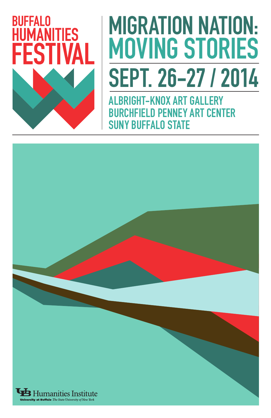

# MIGRATION NATION: MOVING STORIES SEPT. 26-27 / 2014

ALBRIGHT-KNOX ART GALLERY BURCHFIELD PENNEY ART CENTER SUNY BUFFALO STATE

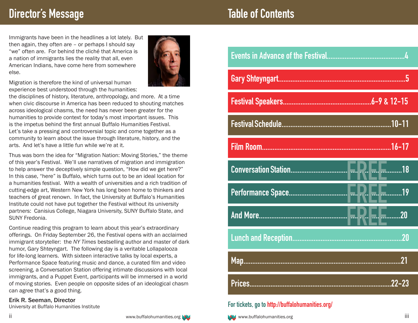## **Director's Message**

Immigrants have been in the headlines a lot lately. But then again, they often are – or perhaps I should say "we" often are. For behind the cliché that America is a nation of immigrants lies the reality that all, even American Indians, have come here from somewhere else.



Migration is therefore the kind of universal human experience best understood through the humanities:

the disciplines of history, literature, anthropology, and more. At a time when civic discourse in America has been reduced to shouting matches across ideological chasms, the need has never been greater for the humanities to provide context for today's most important issues. This is the impetus behind the first annual Buffalo Humanities Festival. Let's take a pressing and controversial topic and come together as a community to learn about the issue through literature, history, and the arts. And let's have a little fun while we're at it.

Thus was born the idea for "Migration Nation: Moving Stories," the theme of this year's Festival. We'll use narratives of migration and immigration to help answer the deceptively simple question, "How did we get here?" In this case, "here" is Buffalo, which turns out to be an ideal location for a humanities festival. With a wealth of universities and a rich tradition of cutting-edge art, Western New York has long been home to thinkers and teachers of great renown. In fact, the University at Buffalo's Humanities Institute could not have put together the Festival without its university partners: Canisius College, Niagara University, SUNY Buffalo State, and SUNY Fredonia.

Continue reading this program to learn about this year's extraordinary offerings. On Friday September 26, the Festival opens with an acclaimed immigrant storyteller: the *NY Times* bestselling author and master of dark humor, Gary Shteyngart. The following day is a veritable Lollapalooza for life-long learners. With sixteen interactive talks by local experts, a Performance Space featuring music and dance, a curated film and video screening, a Conversation Station offering intimate discussions with local immigrants, and a Puppet Event, participants will be immersed in a world of moving stories. Even people on opposite sides of an ideological chasm can agree that's a good thing.

#### Erik R. Seeman, Director

University at Buffalo Humanities Institute



# **Table of Contents**

| .20 |
|-----|
|     |
|     |

## **For tickets, go to http://buffalohumanities.org/**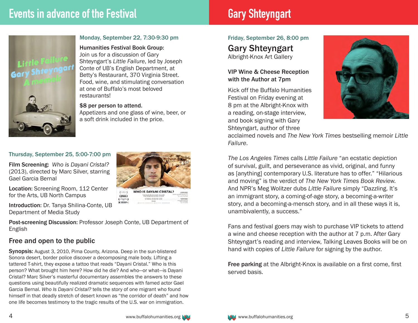

#### Monday, September 22, 7:30-9:30 pm

Humanities Festival Book Group: Join us for a discussion of Gary Shteyngart's *Little Failure*, led by Joseph Conte of UB's English Department, at Betty's Restaurant, 370 Virginia Street. Food, wine, and stimulating conversation at one of Buffalo's most beloved restaurants!

#### \$8 per person to attend.

Appetizers and one glass of wine, beer, or a soft drink included in the price.

#### Thursday, September 25, 5:00-7:00 pm

Film Screening: *Who is Dayani Cristal?*  (2013), directed by Marc Silver, starring Gael Garcia Bernal

Location: Screening Room, 112 Center for the Arts, UB North Campus

Introduction: Dr. Tanya Shilina-Conte, UB Department of Media Study

Post-screening Discussion: Professor Joseph Conte, UB Department of English

### Free and open to the public

Synopsis: August 3, 2010, Pima County, Arizona. Deep in the sun-blistered Sonora desert, border police discover a decomposing male body. Lifting a tattered T-shirt, they expose a tattoo that reads "Dayani Cristal." Who is this person? What brought him here? How did he die? And who—or what—is Dayani Cristal? Marc Silver's masterful documentary assembles the answers to these questions using beautifully realized dramatic sequences with famed actor Gael Garcia Bernal. *Who Is Dayani Cristal?* tells the story of one migrant who found himself in that deadly stretch of desert known as "the corridor of death" and how one life becomes testimony to the tragic results of the U.S. war on immigration.

## **WHO IS DAYANI CRISTAL?**  $F_{\text{center}}$  $(m)$  $(1 - 1)$

Friday, September 26, 8:00 pm Gary Shteyngart

Albright-Knox Art Gallery

#### VIP Wine & Cheese Reception with the Author at 7pm

Kick off the Buffalo Humanities Festival on Friday evening at 8 pm at the Albright-Knox with a reading, on-stage interview, and book signing with Gary Shteyngart, author of three



acclaimed novels and *The New York Times* bestselling memoir *Little Failure*.

*The Los Angeles Times* calls *Little Failure* "an ecstatic depiction of survival, guilt, and perseverance as vivid, original, and funny as [anything] contemporary U.S. literature has to offer." "Hilarious and moving" is the verdict of *The New York Times Book Review.* And NPR's Meg Wolitzer dubs *Little Failure* simply "Dazzling. It's an immigrant story, a coming-of-age story, a becoming-a-writer story, and a becoming-a-mensch story, and in all these ways it is, unambivalently, a success."

Fans and festival goers may wish to purchase VIP tickets to attend a wine and cheese reception with the author at 7 p.m. After Gary Shteyngart's reading and interview, Talking Leaves Books will be on hand with copies of *Little Failure* for signing by the author.

Free parking at the Albright-Knox is available on a first come, first served basis.

4 www.buffalohumanities.org www.buffalohumanities.org www.buffalohumanities.org 5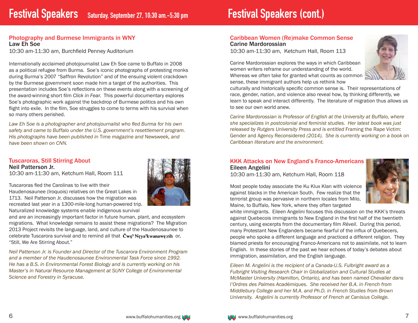#### Photography and Burmese Immigrants in WNY Law Eh Soe

10:30 am-11:30 am, Burchfield Penney Auditorium

Internationally acclaimed photojournalist Law Eh Soe came to Buffalo in 2008 as a political refugee from Burma. Soe's iconic photographs of protesting monks during Burma's 2007 "Saffron Revolution" and of the ensuing violent crackdown by the Burmese government soon made him a target of the authorities. This presentation includes Soe's reflections on these events along with a screening of the award-winning short film *Click in Fear.* This powerful documentary explores Soe's photographic work against the backdrop of Burmese politics and his own flight into exile. In the film, Soe struggles to come to terms with his survival when so many others perished.

*Law Eh Soe is a photographer and photojournalist who fled Burma for his own safety and came to Buffalo under the U.S. government's resettlement program. His photographs have been published in* Time *magazine and* Newsweek*, and have been shown on CNN.*

## Tuscaroras, Still Stirring About Neil Patterson Jr.

10:30 am-11:30 am, Ketchum Hall, Room 111

Tuscaroras fled the Carolinas to live with their Haudenosaunee (Iroquois) relatives on the Great Lakes in 1713. Neil Patterson Jr. discusses how the migration was recreated last year in a 1300-mile-long human-powered trip. Naturalized knowledge systems enable indigenous survival

and are an increasingly important factor in future human, plant, and ecosystem migrations. What knowledge remains to assist these migrations? The Migration 2013 Project revisits the language, land, and culture of the Haudenosaunee to celebrate Tuscarora survival and to remind all that  $\check{C}$ wę? Neya? kwanawe: rih or, "Still, We Are Stirring About."

*Neil Patterson Jr. is Founder and Director of the Tuscarora Environment Program and a member of the Haudenosaunee Environmental Task Force since 1992. He has a B.S. in Environmental Forest Biology and is currently working on his Master's in Natural Resource Management at SUNY College of Environmental Science and Forestry in Syracuse.*

#### Caribbean Women (Re)make Common Sense Carine Mardorossian

10:30 am-11:30 am, Ketchum Hall, Room 113

Carine Mardorossian explores the ways in which Caribbean women writers reframe our understanding of the world. Whereas we often take for granted what counts as common sense, these immigrant authors help us rethink how



culturally and historically specific common sense is. Their representations of race, gender, nation, and violence also reveal how, by thinking differently, we learn to speak and interact differently. The literature of migration thus allows us to see our own world anew.

*Carine Mardorossian is Professor of English at the University at Buffalo, where she specializes in postcolonial and feminist studies. Her latest book was just released by Rutgers University Press and is entitled Framing the Rape Victim:* Gender and Agency Reconsidered *(2014). She is currently working on a book on Caribbean literature and the environment.*

#### KKK Attacks on New England's Franco-Americans Eileen Angelini

10:30 am-11:30 am, Ketchum Hall, Room 118

Most people today associate the Ku Klux Klan with violence against blacks in the American South. Few realize that the terrorist group was pervasive in northern locales from Milo, Maine, to Buffalo, New York, where they often targeted



white immigrants. Eileen Angelini focuses this discussion on the KKK's threats against Quebecois immigrants to New England in the first half of the twentieth century, using excerpts from the documentary film *R*é*veil*. During this period, many Protestant New Englanders became fearful of the influx of Quebecers, people who spoke a different language and practiced a different religion. They blamed priests for encouraging Franco-Americans not to assimilate, not to learn English. In these stories of the past we hear echoes of today's debates about immigration, assimilation, and the English language.

*Eileen M. Angelini is the recipient of a Canada-U.S. Fulbright award as a Fulbright Visiting Research Chair in Globalization and Cultural Studies at McMaster University (Hamilton, Ontario), and has been named Chevalier dans l'Ordres des Palmes Acad*é*miques. She received her B.A. in French from Middlebury College and her M.A. and Ph.D. in French Studies from Brown University. Angelini is currently Professor of French at Canisius College.* 

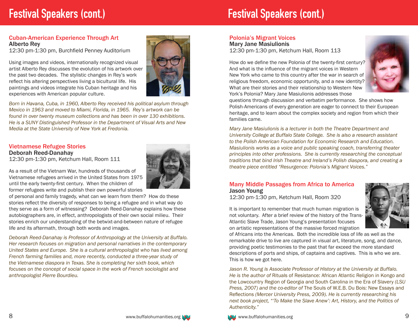## **Festival Speakers (cont.) Festival Speakers (cont.)**

#### Cuban-American Experience Through Art Alberto Rey

12:30 pm-1:30 pm, Burchfield Penney Auditorium

Using images and videos, internationally recognized visual artist Alberto Rey discusses the evolution of his artwork over the past two decades. The stylistic changes in Rey's work reflect his altering perspectives living a bicultural life. His paintings and videos integrate his Cuban heritage and his experiences with American popular culture.



*Born in Havana, Cuba, in 1960, Alberto Rey received his political asylum through Mexico in 1963 and moved to Miami, Florida, in 1965. Rey's artwork can be found in over twenty museum collections and has been in over 130 exhibitions. He is a SUNY Distinguished Professor in the Department of Visual Arts and New Media at the State University of New York at Fredonia.*

#### Vietnamese Refugee Stories Deborah Reed-Danahay

12:30 pm-1:30 pm, Ketchum Hall, Room 111

As a result of the Vietnam War, hundreds of thousands of Vietnamese refugees arrived in the United States from 1975 until the early twenty-first century. When the children of former refugees write and publish their own powerful stories

of personal and family tragedy, what can we learn from them? How do these stories reflect the diversity of responses to being a refugee and in what way do they serve as a form of witnessing? Deborah Reed-Danahay explains how these autobiographers are, in effect, anthropologists of their own social milieu. Their stories enrich our understanding of the betwixt-and-between nature of refugee life and its aftermath, through both words and images.

*Deborah Reed-Danahay is Professor of Anthropology at the University at Buffalo. Her research focuses on migration and personal narratives in the contemporary United States and Europe. She is a cultural anthropologist who has lived among French farming families and, more recently, conducted a three-year study of the Vietnamese diaspora in Texas. She is completing her sixth book, which focuses on the concept of social space in the work of French sociologist and anthropologist Pierre Bourdieu.* 

#### Polonia's Migrant Voices

Mary Jane Masiulionis 12:30 pm-1:30 pm, Ketchum Hall, Room 113

How do we define the new Polonia of the twenty-first century? And what is the influence of the migrant voices in Western New York who came to this country after the war in search of religious freedom, economic opportunity, and a new identity? What are their stories and their relationship to Western New York's Polonia? Mary Jane Masiulionis addresses those



questions through discussion and verbatim performance. She shows how Polish-Americans of every generation are eager to connect to their European heritage, and to learn about the complex society and region from which their families came.

*Mary Jane Masiulionis is a lecturer in both the Theatre Department and University College at Buffalo State College. She is also a research assistant to the Polish American Foundation for Economic Research and Education. Masiulionis works as a voice and public speaking coach, transferring theater principles into other professions. She is currently researching the conceptual traditions that bind Irish Theatre and Ireland's Polish diaspora, and creating a theatre piece entitled "Resurgence: Polonia's Migrant Voices."*

#### Many Middle Passages from Africa to America Jason Young

12:30 pm-1:30 pm, Ketchum Hall, Room 320

It is important to remember that much human migration is not voluntary. After a brief review of the history of the Trans-Atlantic Slave Trade, Jason Young's presentation focuses on artistic representations of the massive forced migration



of Africans into the Americas. Both the incredible loss of life as well as the remarkable drive to live are captured in visual art, literature, song, and dance, providing poetic testimonies to the past that far exceed the more standard descriptions of ports and ships, of captains and captives. This is who we are. This is how we got here.

*Jason R. Young is Associate Professor of History at the University at Buffalo. He is the author of* Rituals of Resistance: African Atlantic Religion in Kongo and the Lowcountry Region of Georgia and South Carolina in the Era of Slavery *(LSU Press, 2007) and the co-editor of* The Souls of W.E.B. Du Bois: New Essays and Reflections *(Mercer University Press, 2009). He is currently researching his next book project, "'To Make the Slave Anew': Art, History, and the Politics of Authenticity."*

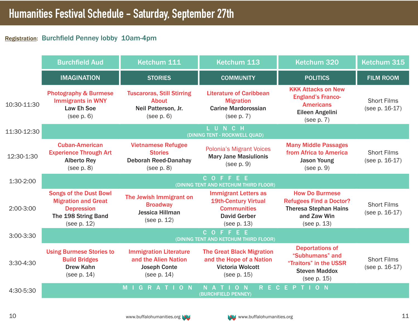## Registration: Burchfield Penney lobby 10am-4pm

|             | <b>Burchfield Aud</b>                                                                                                  | Ketchum 111                                                                                 | Ketchum 113                                                                                                            | Ketchum 320                                                                                                           | Ketchum 315                          |
|-------------|------------------------------------------------------------------------------------------------------------------------|---------------------------------------------------------------------------------------------|------------------------------------------------------------------------------------------------------------------------|-----------------------------------------------------------------------------------------------------------------------|--------------------------------------|
|             | <b>IMAGINATION</b>                                                                                                     | <b>STORIES</b>                                                                              | <b>COMMUNITY</b>                                                                                                       | <b>POLITICS</b>                                                                                                       | <b>FILM ROOM</b>                     |
| 10:30-11:30 | <b>Photography &amp; Burmese</b><br><b>Immigrants in WNY</b><br><b>Law Eh Soe</b><br>(see p. 6)                        | <b>Tuscaroras, Still Stirring</b><br><b>About</b><br>Neil Patterson, Jr.<br>(see p. 6)      | <b>Literature of Caribbean</b><br><b>Migration</b><br><b>Carine Mardorossian</b><br>(see p. 7)                         | <b>KKK Attacks on New</b><br><b>England's Franco-</b><br><b>Americans</b><br>Eileen Angelini<br>(see p. 7)            | <b>Short Films</b><br>(see p. 16-17) |
| 11:30-12:30 | LUNCH<br>(DINING TENT - ROCKWELL QUAD)                                                                                 |                                                                                             |                                                                                                                        |                                                                                                                       |                                      |
| 12:30-1:30  | <b>Cuban-American</b><br><b>Experience Through Art</b><br><b>Alberto Rey</b><br>(see p. 8)                             | <b>Vietnamese Refugee</b><br><b>Stories</b><br><b>Deborah Reed-Danahay</b><br>(see p. 8)    | <b>Polonia's Migrant Voices</b><br><b>Mary Jane Masiulionis</b><br>(see p. 9)                                          | <b>Many Middle Passages</b><br>from Africa to America<br><b>Jason Young</b><br>(see p. 9)                             | <b>Short Films</b><br>(see p. 16-17) |
| 1:30-2:00   | COFFEE<br>(DINING TENT AND KETCHUM THIRD FLOOR)                                                                        |                                                                                             |                                                                                                                        |                                                                                                                       |                                      |
| 2:00-3:00   | <b>Songs of the Dust Bowl</b><br><b>Migration and Great</b><br><b>Depression</b><br>The 198 String Band<br>(see p. 12) | The Jewish Immigrant on<br><b>Broadway</b><br>Jessica Hillman<br>(see p. 12)                | <b>Immigrant Letters as</b><br><b>19th-Century Virtual</b><br><b>Communities</b><br><b>David Gerber</b><br>(see p. 13) | <b>How Do Burmese</b><br><b>Refugees Find a Doctor?</b><br><b>Theresa Stephan Hains</b><br>and Zaw Win<br>(see p. 13) | <b>Short Films</b><br>(see p. 16-17) |
| 3:00-3:30   | COFFEE<br>(DINING TENT AND KETCHUM THIRD FLOOR)                                                                        |                                                                                             |                                                                                                                        |                                                                                                                       |                                      |
| 3:30-4:30   | <b>Using Burmese Stories to</b><br><b>Build Bridges</b><br><b>Drew Kahn</b><br>(see p. 14)                             | <b>Immigration Literature</b><br>and the Alien Nation<br><b>Joseph Conte</b><br>(see p. 14) | <b>The Great Black Migration</b><br>and the Hope of a Nation<br><b>Victoria Wolcott</b><br>(see p. 15)                 | <b>Deportations of</b><br>"Subhumans" and<br>"Traitors" in the USSR<br><b>Steven Maddox</b><br>(see p. 15)            | <b>Short Films</b><br>(see p. 16-17) |
| 4:30-5:30   |                                                                                                                        | M<br>$O$ $N$<br>G                                                                           | $O$ N<br>R<br>$N$ $A$<br>(BURCHFIELD PENNEY)                                                                           | ECEPT<br>O N                                                                                                          |                                      |

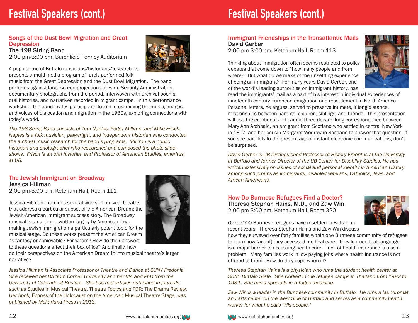# **Festival Speakers (cont.) Festival Speakers (cont.)**

#### Songs of the Dust Bowl Migration and Great **Depression**

The 198 String Band 2:00 pm-3:00 pm, Burchfield Penney Auditorium

A popular trio of Buffalo musicians/historians/researchers presents a multi-media program of rarely performed folk

music from the Great Depression and the Dust Bowl Migration. The band performs against large-screen projections of Farm Security Administration documentary photographs from the period, interwoven with archival poems, oral histories, and narratives recorded in migrant camps. In this performance workshop, the band invites participants to join in examining the music, images, and voices of dislocation and migration in the 1930s, exploring connections with today's world.

*The 198 String Band consists of Tom Naples, Peggy Milliron, and Mike Frisch. Naples is a folk musician, playwright, and independent historian who conducted the archival music research for the band's programs. Milliron is a public historian and photographer who researched and composed the photo slideshows. Frisch is an oral historian and Professor of American Studies, emeritus, at UB.*

#### The Jewish Immigrant on Broadway Jessica Hillman

2:00 pm-3:00 pm, Ketchum Hall, Room 111

Jessica Hillman examines several works of musical theatre that address a particular subset of the American Dream: the Jewish-American immigrant success story. The Broadway musical is an art form written largely by American Jews, making Jewish immigration a particularly potent topic for the musical stage. Do these works present the American Dream as fantasy or achievable? For whom? How do their answers to these questions affect their box office? And finally, how

do their perspectives on the American Dream fit into musical theatre's larger narrative?

*Jessica Hillman is Associate Professor of Theatre and Dance at SUNY Fredonia. She received her BA from Cornell University and her MA and PhD from the University of Colorado at Boulder. She has had articles published in journals such as* Studies in Musical Theatre, Theatre Topics *and* TDR: The Drama Review*. Her book,* Echoes of the Holocaust on the American Musical Theatre Stage*, was published by McFarland Press in 2013.*

#### Immigrant Friendships in the Transatlantic Mails David Gerber

2:00 pm-3:00 pm, Ketchum Hall, Room 113

Thinking about immigration often seems restricted to policy debates that come down to "how many people and from where?" But what do we make of the unsettling experience of being an immigrant? For many years David Gerber, one of the world's leading authorities on immigrant history, has



read the immigrants' mail as a part of his interest in individual experiences of nineteenth-century European emigration and resettlement in North America. Personal letters, he argues, served to preserve intimate, if long distance, relationships between parents, children, siblings, and friends. This presentation will use the emotional and candid three-decade-long correspondence between Mary Ann Archbald, an emigrant from Scotland who settled in central New York in 1807, and her cousin Margaret Wodrow in Scotland to answer that question. If you see parallels to the present age of instant electronic communications, don't be surprised.

*David Gerber is UB Distinguished Professor of History Emeritus at the University at Buffalo and former Director of the UB Center for Disability Studies. He has written extensively on issues of social and personal identity in American History among such groups as immigrants, disabled veterans, Catholics, Jews, and African Americans.*

How Do Burmese Refugees Find a Doctor? Theresa Stephan Hains, M.D., and Zaw Win 2:00 pm-3:00 pm, Ketchum Hall, Room 320



Over 5000 Burmese refugees have resettled in Buffalo in recent years. Theresa Stephan Hains and Zaw Win discuss

how they surveyed over forty families within one Burmese community of refugees to learn how (and if) they accessed medical care. They learned that language is a major barrier to accessing health care. Lack of health insurance is also a problem. Many families work in low paying jobs where health insurance is not offered to them. How do they cope when ill?

*Theresa Stephan Hains is a physician who runs the student health center at SUNY Buffalo State. She worked in the refugee camps in Thailand from 1982 to 1984. She has a specialty in refugee medicine.*

*Zaw Win is a leader in the Burmese community in Buffalo. He runs a laundromat and arts center on the West Side of Buffalo and serves as a community health worker for what he calls "His people."*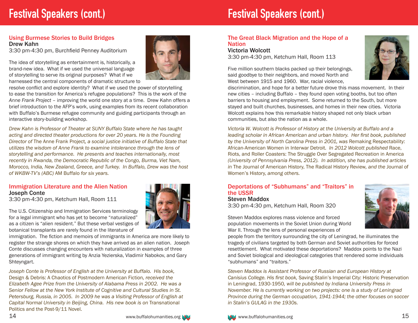# **Festival Speakers (cont.) Festival Speakers (cont.)**

#### Using Burmese Stories to Build Bridges Drew Kahn

3:30 pm-4:30 pm, Burchfield Penney Auditorium

The idea of storytelling as entertainment is, historically, a brand-new idea. What if we used the universal language of storytelling to serve its original purposes? What if we harnessed the central components of dramatic structure to



resolve conflict and explore identity? What if we used the power of storytelling to ease the transition for America's refugee populations? This is the work of the *Anne Frank Project* – improving the world one story at a time. Drew Kahn offers a brief introduction to the AFP's work, using examples from its recent collaboration with Buffalo's Burmese refugee community and guiding participants through an interactive story-building workshop.

*Drew Kahn is Professor of Theater at SUNY Buffalo State where he has taught acting and directed theater productions for over 20 years. He is the Founding Director of* The Anne Frank Project*, a social justice initiative of Buffalo State that utilizes the wisdom of Anne Frank to examine intolerance through the lens of storytelling and performance. He presents and teaches internationally, most recently in Rwanda, the Democratic Republic of the Congo, Burma, Viet Nam, Morocco, India, New Zealand, Greece, and Turkey. In Buffalo, Drew was the host of WKBW-TV's (ABC)* AM Buffalo *for six years.* 

#### Immigration Literature and the Alien Nation Joseph Conte

3:30 pm-4:30 pm, Ketchum Hall, Room 111

The U.S. Citizenship and Immigration Services terminology for a legal immigrant who has yet to become "naturalized" as a citizen is "alien resident." But these verbal vestiges of botanical transplants are rarely found in the literature of

immigration. The fiction and memoirs of immigrants in America are more likely to register the strange shores on which they have arrived as an alien nation. Joseph Conte discusses changing encounters with naturalization in examples of three generations of immigrant writing by Anzia Yezierska, Vladimir Nabokov, and Gary Shteyngart.

*Joseph Conte is Professor of English at the University at Buffalo. His book,*  Design & Debris: A Chaotics of Postmodern American Fiction*, received the Elizabeth Agee Prize from the University of Alabama Press in 2002. He was a Senior Fellow at the New York Institute of Cognitive and Cultural Studies in St. Petersburg, Russia, in 2005. In 2009 he was a Visiting Professor of English at Capital Normal University in Beijing, China. His new book is on Transnational* Politics and the Post-9/11 Novel.

#### The Great Black Migration and the Hope of a **Nation**

Victoria Wolcott

3:30 pm-4:30 pm, Ketchum Hall, Room 113

Five million southern blacks packed up their belongings, said goodbye to their neighbors, and moved North and West between 1915 and 1960. War, racial violence,



discrimination, and hope for a better future drove this mass movement. In their new cities – including Buffalo – they found open voting booths, but too often barriers to housing and employment. Some returned to the South, but more stayed and built churches, businesses, and homes in their new cities. Victoria Wolcott explains how this remarkable history shaped not only black urban communities, but also the nation as a whole.

*Victoria W. Wolcott is Professor of History at the University at Buffalo and a leading scholar in African American and urban history. Her first book, published*  by the University of North Carolina Press in 2001, was Remaking Respectability: African-American Women in Interwar Detroit*. In 2012 Wolcott published* Race, Riots, and Roller Coasters: The Struggle Over Segregated Recreation in America *(University of Pennsylvania Press, 2012). In addition, she has published articles in* The Journal of American History, The Radical History Review*, and the* Journal of Women's History, *among others.* 

#### Deportations of "Subhumans" and "Traitors" in the USSR Steven Maddox

3:30 pm-4:30 pm, Ketchum Hall, Room 320

Steven Maddox explores mass violence and forced population movements in the Soviet Union during World War II. Through the lens of personal experiences of



people from the territory surrounding the city of Leningrad, he illuminates the tragedy of civilians targeted by both German and Soviet authorities for forced resettlement. What motivated these deportations? Maddox points to the Nazi and Soviet biological and ideological categories that rendered some individuals "subhumans" and "traitors."

*Steven Maddox is Assistant Professor of Russian and European History at Canisius College. His first book,* Saving Stalin's Imperial City: Historic Preservation in Leningrad, 1930-1950*, will be published by Indiana University Press in November. He is currently working on two projects: one is a study of Leningrad Province during the German occupation, 1941-1944; the other focuses on soccer in Stalin's GULAG in the 1930s.*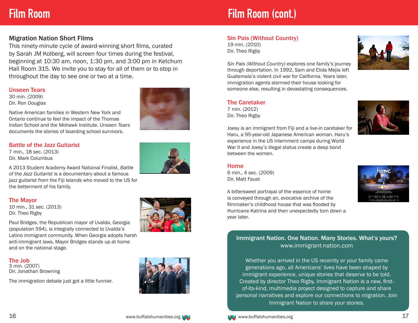## **Film Room**

### Migration Nation Short Films

This ninety-minute cycle of award-winning short films, curated by Sarah JM Kolberg, will screen four times during the festival, beginning at 10:30 am, noon, 1:30 pm, and 3:00 pm in Ketchum Hall Room 315. We invite you to stay for all of them or to stop in throughout the day to see one or two at a time.

#### Unseen Tears

30 min. (2009) Dir. Ron Douglas



#### Battle of the Jazz Guitarist

7 min., 18 sec. (2013) Dir. Mark Columbus



A 2013 Student Academy Award National Finalist, *Battle of the Jazz Guitarist* is a documentary about a famous jazz guitarist from the Fiji Islands who moved to the US for the betterment of his family.

Native American families in Western New York and Ontario continue to feel the impact of the Thomas Indian School and the Mohawk Institute. *Unseen Tears* documents the stories of boarding school survivors.

#### The Mayor

10 min., 31 sec. (2013) Dir. Theo Rigby

Paul Bridges, the Republican mayor of Uvalda, Georgia (population 594), is integrally connected to Uvalda's Latino immigrant community. When Georgia adopts harsh anti-immigrant laws, Mayor Bridges stands up at home and on the national stage.

#### The Job

3 min. (2007) Dir. Jonathan Browning

The immigration debate just got a little funnier.





# **Film Room (cont.)**

#### Sin Pais (Without Country)

19 min. (2010) Dir. Theo Rigby



*Sin Pais (Without Country)* explores one family's journey through deportation. In 1992, Sam and Elida Mejia left Guatemala's violent civil war for California. Years later, immigration agents stormed their house looking for someone else, resulting in devastating consequences.

#### The Caretaker

7 min. (2012) Dir. Theo Rigby



Joesy is an immigrant from Fiji and a live-in caretaker for Haru, a 95-year-old Japanese American woman. Haru's experience in the US internment camps during World War II and Joesy's illegal status create a deep bond between the women.

#### Home

6 min., 4 sec. (2009) Dir. Matt Faust

A bittersweet portrayal of the essence of home is conveyed through an, evocative archive of the filmmaker's childhood house that was flooded by Hurricane Katrina and then unexpectedly torn down a year later.



#### Immigrant Nation. One Nation. Many Stories. What's yours? www.immigrant-nation.com

Whether you arrived in the US recently or your family came generations ago, all Americans' lives have been shaped by immigrant experience, unique stories that deserve to be told. Created by director Theo Rigby, Immigrant Nation is a new, firstof-its-kind, multimedia project designed to capture and share personal narratives and explore our connections to migration. Join Immigrant Nation to share your stories.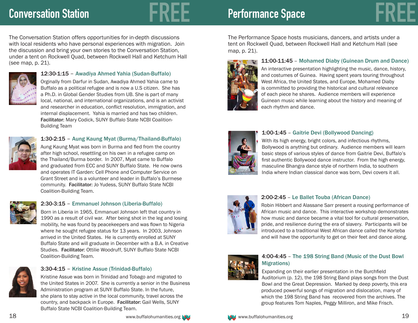# **Conversation Station FREE Performance Space FREE**

The Conversation Station offers opportunities for in-depth discussions with local residents who have personal experiences with migration. Join the discussion and bring your own stories to the Conversation Station, under a tent on Rockwell Quad, between Rockwell Hall and Ketchum Hall (see map, p. 21).



#### 12:30-1:15 – Awadiya Ahmed Yahia (Sudan-Buffalo)

Orginally from Darfur in Sudan, Awadiya Ahmed Yahia came to Buffalo as a political refugee and is now a U.S citizen. She has a Ph.D. in Global Gender Studies from UB. She is part of many local, national, and international organizations, and is an activist and researcher in education, conflict resolution, immigration, and internal displacement. Yahia is married and has two children. Facilitator: Mary Codick, SUNY Buffalo State NCBI Coalition-Building Team



#### 1:30-2:15 – Aung Kaung Myat (Burma/Thailand-Buffalo)

Aung Kaung Myat was born in Burma and fled from the country after high school, resettling on his own in a refugee camp on the Thailand/Burma border. In 2007, Myat came to Buffalo and graduated from ECC and SUNY Buffalo State. He now owns and operates IT Garden: Cell Phone and Computer Service on Grant Street and is a volunteer and leader in Buffalo's Burmese community. Facilitator: Jo Yudess, SUNY Buffalo State NCBI Coalition-Building Team.



#### 2:30-3:15 – Emmanuel Johnson (Liberia-Buffalo)

Born in Liberia in 1965, Emmanuel Johnson left that country in 1990 as a result of civil war. After being shot in the leg and losing mobility, he was found by peacekeepers and was flown to Nigeria where he sought refugee status for 13 years. In 2003, Johnson arrived in the United States. He is currently enrolled at SUNY Buffalo State and will graduate in December with a B.A. in Creative Studies. Facilitator: Ottilie Woodruff, SUNY Buffalo State NCBI Coalition-Building Team.



#### 3:30-4:15 – Kristine Assue (Trinidad-Buffalo)

Kristine Assue was born in Trinidad and Tobago and migrated to the United States in 2007. She is currently a senior in the Business Administration program at SUNY Buffalo State. In the future, she plans to stay active in the local community, travel across the country, and backpack in Europe. Facilitator: Gail Wells, SUNY Buffalo State NCBI Coalition-Building Team.

The Performance Space hosts musicians, dancers, and artists under a tent on Rockwell Quad, between Rockwell Hall and Ketchum Hall (see



map, p. 21).

#### 11:00-11:45 – Mohamed Diaby (Guinean Drum and Dance)

An interactive presentation highlighting the music, dance, history, and costumes of Guinea. Having spent years touring throughout West Africa, the United States, and Europe, Mohamed Diaby is committed to providing the historical and cultural relevance of each piece he shares. Audience members will experience Guinean music while learning about the history and meaning of each rhythm and dance.



#### 1:00-1:45 – Gaitrie Devi (Bollywood Dancing)

With its high energy, bright colors, and infectious rhythms, Bollywood is anything but ordinary. Audience members will learn basic steps of various styles of dance from Gaitrie Devi, Buffalo's first authentic Bollywood dance instructor. From the high energy, masculine Bhangra dance style of northern India, to southern India where Indian classical dance was born, Devi covers it all.



#### 2:00-2:45 – Le Ballet Touba (African Dance)

Robin Hibbert and Alassane Sarr present a rousing performance of African music and dance. This interactive workshop demonstrates how music and dance became a vital tool for cultural preservation, pride, and resilience during the era of slavery. Participants will be introduced to a traditional West African dance called the Korteba and will have the opportunity to get on their feet and dance along.



#### 4:00-4:45 – The 198 String Band (Music of the Dust Bowl Migrations)

Expanding on their earlier presentation in the Burchfield Auditorium (p. 12), the 198 String Band plays songs from the Dust Bowl and the Great Depression. Marked by deep poverty, this era produced powerful songs of migration and dislocation, many of which the 198 String Band has recovered from the archives. The group features Tom Naples, Peggy Milliron, and Mike Frisch.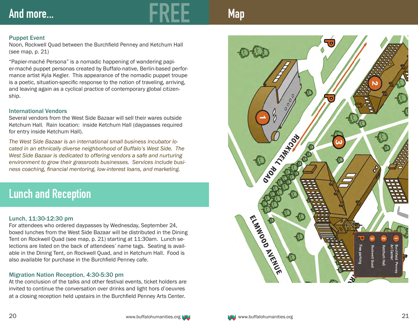# And more...

**Map**

#### Puppet Event

Noon, Rockwell Quad between the Burchfield Penney and Ketchum Hall (see map, p. 21)

"Papier-maché Persona" is a nomadic happening of wandering papi er-maché puppet personas created by Buffalo-native, Berlin-based perfor mance artist Kyla Kegler. This appearance of the nomadic puppet troupe is a poetic, situation-specific response to the notion of traveling, arriving, and leaving again as a cyclical practice of contemporary global citizen ship.

#### International Vendors

Several vendors from the West Side Bazaar will sell their wares outside Ketchum Hall. Rain location: inside Ketchum Hall (daypasses required for entry inside Ketchum Hall).

*The West Side Bazaar is an international small business incubator lo cated in an ethnically diverse neighborhood of Buffalo's West Side. The West Side Bazaar is dedicated to offering vendors a safe and nurturing environment to grow their grassroots businesses. Services include busi ness coaching, financial mentoring, low-interest loans, and marketing.*

# **Lunch and Reception**

#### Lunch, 11:30-12:30 pm

For attendees who ordered daypasses by Wednesday, September 24, boxed lunches from the West Side Bazaar will be distributed in the Dining Tent on Rockwell Quad (see map, p. 21) starting at 11:30am. Lunch se lections are listed on the back of attendees' name tags. Seating is avail able in the Dining Tent, on Rockwell Quad, and in Ketchum Hall. Food is also available for purchase in the Burchfield Penney cafe.

#### Migration Nation Reception, 4:30-5:30 pm

At the conclusion of the talks and other festival events, ticket holders are invited to continue the conversation over drinks and light hors d'oeuvres at a closing reception held upstairs in the Burchfield Penney Arts Center.

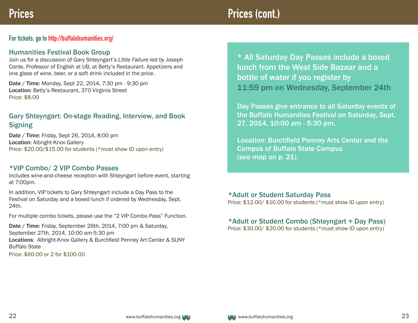## **Prices Prices (cont.)**

## **For tickets, go to http://buffalohumanities.org/**

#### Humanities Festival Book Group

Join us for a discussion of Gary Shteyngart's *Little Failure* led by Joseph Conte, Professor of English at UB, at Betty's Restaurant. Appetizers and one glass of wine, beer, or a soft drink included in the price.

Date / Time: Monday, Sept 22, 2014, 7:30 pm - 9:30 pm Location: Betty's Restaurant, 370 Virginia Street Price: \$8.00

## Gary Shteyngart: On-stage Reading, Interview, and Book **Signing**

Date / Time: Friday, Sept 26, 2014, 8:00 pm Location: Albright-Knox Gallery Price: \$20.00/\$15.00 for students (\*must show ID upon entry)

## \*VIP Combo/ 2 VIP Combo Passes

Includes wine-and-cheese reception with Shteyngart before event, starting at 7:00pm.

In addition, VIP tickets to Gary Shteyngart include a Day Pass to the Festival on Saturday and a boxed lunch if ordered by Wednesday, Sept. 24th.

For multiple combo tickets, please use the "2 VIP Combo Pass" Function.

Date / Time: Friday, September 26th, 2014, 7:00 pm & Saturday, September 27th, 2014, 10:00 am-5:30 pm Locations: Albright-Knox Gallery & Burchfield Penney Art Center & SUNY Buffalo State Price: \$60.00 or 2 for \$100.00

\* All Saturday Day Passes include a boxed lunch from the West Side Bazaar and a bottle of water if you register by 11:59 pm on Wednesday, September 24th

Day Passes give entrance to all Saturday events of the Buffalo Humanities Festival on Saturday, Sept. 27, 2014, 10:00 am - 5:30 pm.

Location: Burchfield Penney Arts Center and the Campus of Buffalo State Campus (see map on p. 21).

\*Adult or Student Saturday Pass Price: \$12.00/ \$10.00 for students (\*must show ID upon entry)

## \*Adult or Student Combo (Shteyngart + Day Pass)

Price: \$30.00/ \$20.00 for students (\*must show ID upon entry)